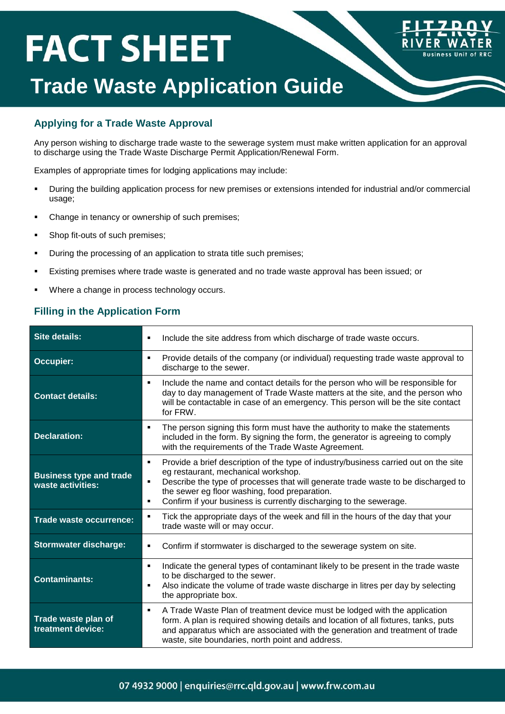# **FACT SHEET**



### **Trade Waste Application Guide**

#### **Applying for a Trade Waste Approval**

Any person wishing to discharge trade waste to the sewerage system must make written application for an approval to discharge using the Trade Waste Discharge Permit Application/Renewal Form.

Examples of appropriate times for lodging applications may include:

- During the building application process for new premises or extensions intended for industrial and/or commercial usage;
- Change in tenancy or ownership of such premises;
- **Shop fit-outs of such premises;**
- During the processing of an application to strata title such premises;
- Existing premises where trade waste is generated and no trade waste approval has been issued; or
- Where a change in process technology occurs.

#### **Filling in the Application Form**

| <b>Site details:</b>                                | Include the site address from which discharge of trade waste occurs.<br>٠                                                                                                                                                                                                                                                                              |
|-----------------------------------------------------|--------------------------------------------------------------------------------------------------------------------------------------------------------------------------------------------------------------------------------------------------------------------------------------------------------------------------------------------------------|
| Occupier:                                           | Provide details of the company (or individual) requesting trade waste approval to<br>٠<br>discharge to the sewer.                                                                                                                                                                                                                                      |
| <b>Contact details:</b>                             | Include the name and contact details for the person who will be responsible for<br>٠<br>day to day management of Trade Waste matters at the site, and the person who<br>will be contactable in case of an emergency. This person will be the site contact<br>for FRW.                                                                                  |
| <b>Declaration:</b>                                 | The person signing this form must have the authority to make the statements<br>٠<br>included in the form. By signing the form, the generator is agreeing to comply<br>with the requirements of the Trade Waste Agreement.                                                                                                                              |
| <b>Business type and trade</b><br>waste activities: | Provide a brief description of the type of industry/business carried out on the site<br>٠<br>eg restaurant, mechanical workshop.<br>Describe the type of processes that will generate trade waste to be discharged to<br>٠<br>the sewer eg floor washing, food preparation.<br>Confirm if your business is currently discharging to the sewerage.<br>٠ |
| Trade waste occurrence:                             | Tick the appropriate days of the week and fill in the hours of the day that your<br>٠<br>trade waste will or may occur.                                                                                                                                                                                                                                |
| <b>Stormwater discharge:</b>                        | Confirm if stormwater is discharged to the sewerage system on site.<br>٠                                                                                                                                                                                                                                                                               |
| <b>Contaminants:</b>                                | Indicate the general types of contaminant likely to be present in the trade waste<br>٠<br>to be discharged to the sewer.<br>Also indicate the volume of trade waste discharge in litres per day by selecting<br>٠<br>the appropriate box.                                                                                                              |
| Trade waste plan of<br>treatment device:            | A Trade Waste Plan of treatment device must be lodged with the application<br>٠<br>form. A plan is required showing details and location of all fixtures, tanks, puts<br>and apparatus which are associated with the generation and treatment of trade<br>waste, site boundaries, north point and address.                                             |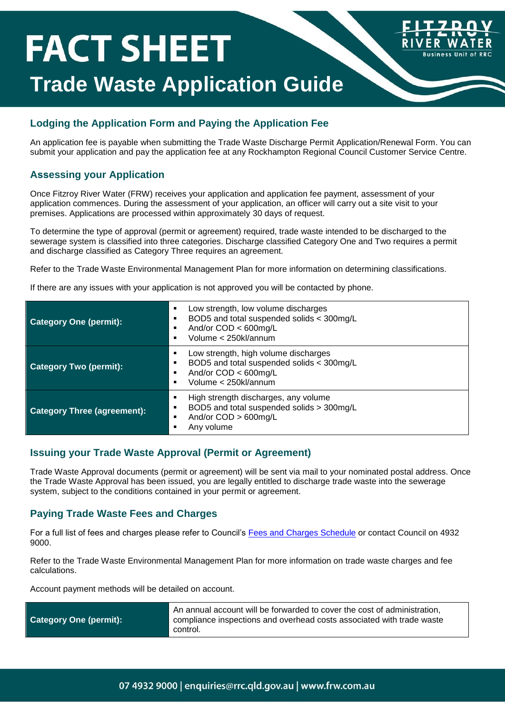## **FACT SHEET Trade Waste Application Guide**

#### **Lodging the Application Form and Paying the Application Fee**

An application fee is payable when submitting the Trade Waste Discharge Permit Application/Renewal Form. You can submit your application and pay the application fee at any Rockhampton Regional Council Customer Service Centre.

**Usiness Unit of RRC** 

#### **Assessing your Application**

Once Fitzroy River Water (FRW) receives your application and application fee payment, assessment of your application commences. During the assessment of your application, an officer will carry out a site visit to your premises. Applications are processed within approximately 30 days of request.

To determine the type of approval (permit or agreement) required, trade waste intended to be discharged to the sewerage system is classified into three categories. Discharge classified Category One and Two requires a permit and discharge classified as Category Three requires an agreement.

Refer to the Trade Waste Environmental Management Plan for more information on determining classifications.

If there are any issues with your application is not approved you will be contacted by phone.

| <b>Category One (permit):</b>      | Low strength, low volume discharges<br>٠<br>BOD5 and total suspended solids < 300mg/L<br>And/or $COD < 600$ mg/L<br>Volume < 250kl/annum  |
|------------------------------------|-------------------------------------------------------------------------------------------------------------------------------------------|
| <b>Category Two (permit):</b>      | Low strength, high volume discharges<br>٠<br>BOD5 and total suspended solids < 300mg/L<br>And/or $COD < 600$ mg/L<br>Volume < 250kl/annum |
| <b>Category Three (agreement):</b> | High strength discharges, any volume<br>BOD5 and total suspended solids > 300mg/L<br>And/or COD > 600mg/L<br>Any volume                   |

#### **Issuing your Trade Waste Approval (Permit or Agreement)**

Trade Waste Approval documents (permit or agreement) will be sent via mail to your nominated postal address. Once the Trade Waste Approval has been issued, you are legally entitled to discharge trade waste into the sewerage system, subject to the conditions contained in your permit or agreement.

#### **Paying Trade Waste Fees and Charges**

For a full list of fees and charges please refer to Council's [Fees and Charges Schedule](http://www.rockhamptonregion.qld.gov.au/About-Council/Finance-Rates-and-Budget/Fees-and-Charges) or contact Council on 4932 9000.

Refer to the Trade Waste Environmental Management Plan for more information on trade waste charges and fee calculations.

Account payment methods will be detailed on account.

| <b>Category One (permit):</b> | An annual account will be forwarded to cover the cost of administration.<br>compliance inspections and overhead costs associated with trade waste |
|-------------------------------|---------------------------------------------------------------------------------------------------------------------------------------------------|
|                               | control.                                                                                                                                          |